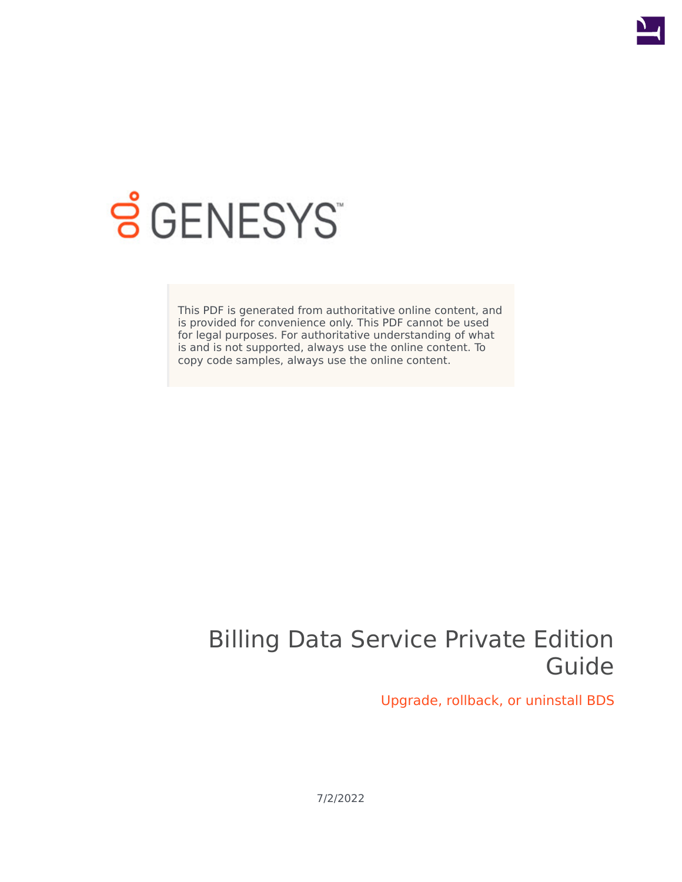

# **SGENESYS**

This PDF is generated from authoritative online content, and is provided for convenience only. This PDF cannot be used for legal purposes. For authoritative understanding of what is and is not supported, always use the online content. To copy code samples, always use the online content.

## Billing Data Service Private Edition Guide

Upgrade, rollback, or uninstall BDS

7/2/2022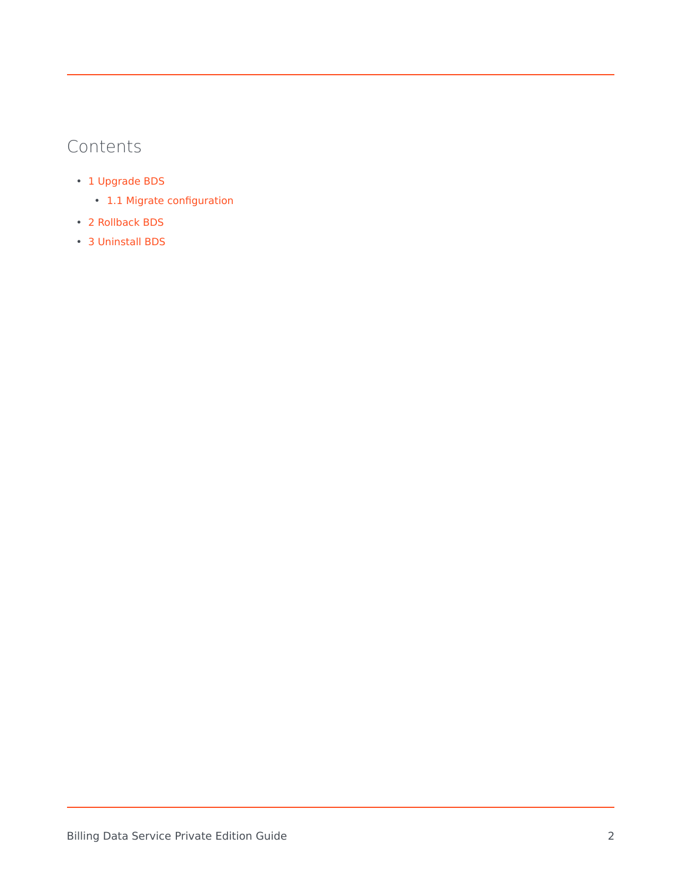## Contents

- 1 [Upgrade BDS](#page-2-0)
	- 1.1 [Migrate configuration](#page-2-1)
- 2 [Rollback BDS](#page-3-0)
- 3 [Uninstall BDS](#page-3-1)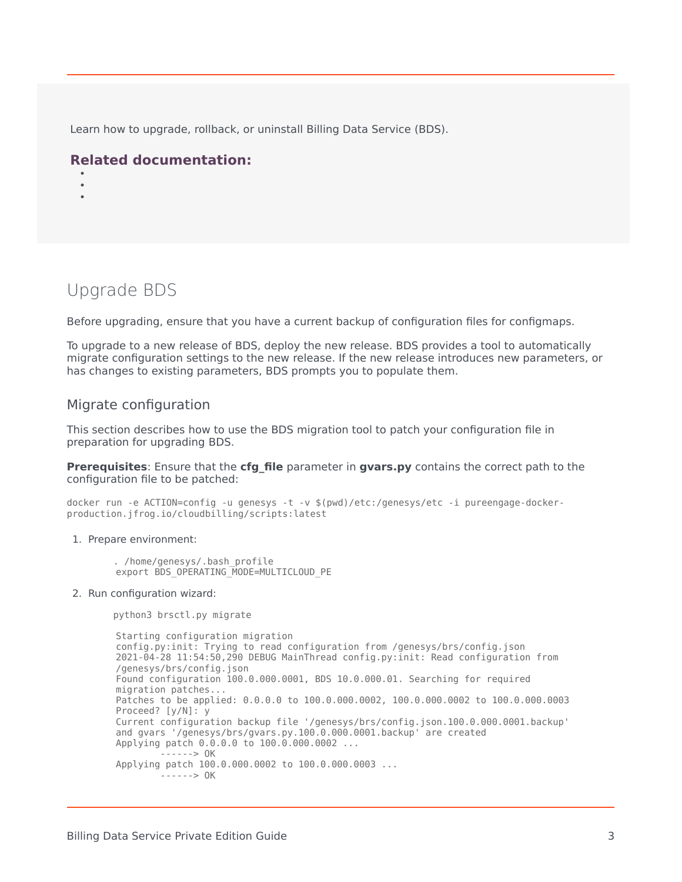Learn how to upgrade, rollback, or uninstall Billing Data Service (BDS).

#### **Related documentation:**

- •
- •

### <span id="page-2-0"></span>Upgrade BDS

Before upgrading, ensure that you have a current backup of configuration files for configmaps.

To upgrade to a new release of BDS, deploy the new release. BDS provides a tool to automatically migrate configuration settings to the new release. If the new release introduces new parameters, or has changes to existing parameters, BDS prompts you to populate them.

#### <span id="page-2-1"></span>Migrate configuration

This section describes how to use the BDS migration tool to patch your configuration file in preparation for upgrading BDS.

**Prerequisites:** Ensure that the **cfg file** parameter in **gvars.py** contains the correct path to the configuration file to be patched:

docker run -e ACTION=config -u genesys -t -v \$(pwd)/etc:/genesys/etc -i pureengage-dockerproduction.jfrog.io/cloudbilling/scripts:latest

- 1. Prepare environment:
	- . /home/genesys/.bash\_profile export BDS OPERATING MODE=MULTICLOUD PE
- 2. Run configuration wizard:

python3 brsctl.py migrate

Starting configuration migration config.py:init: Trying to read configuration from /genesys/brs/config.json 2021-04-28 11:54:50,290 DEBUG MainThread config.py:init: Read configuration from /genesys/brs/config.json Found configuration 100.0.000.0001, BDS 10.0.000.01. Searching for required migration patches... Patches to be applied: 0.0.0.0 to 100.0.000.0002, 100.0.000.0002 to 100.0.000.0003 Proceed? [y/N]: y Current configuration backup file '/genesys/brs/config.json.100.0.000.0001.backup' and gvars '/genesys/brs/gvars.py.100.0.000.0001.backup' are created Applying patch 0.0.0.0 to 100.0.000.0002 ... ------> OK Applying patch 100.0.000.0002 to 100.0.000.0003 ...  $- - - - - > 0K$